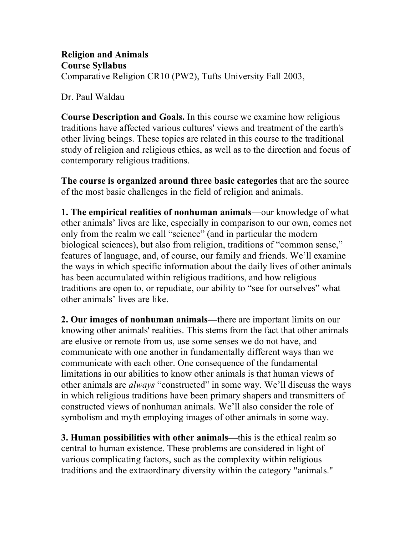**Religion and Animals Course Syllabus** Comparative Religion CR10 (PW2), Tufts University Fall 2003,

Dr. Paul Waldau

**Course Description and Goals.** In this course we examine how religious traditions have affected various cultures' views and treatment of the earth's other living beings. These topics are related in this course to the traditional study of religion and religious ethics, as well as to the direction and focus of contemporary religious traditions.

**The course is organized around three basic categories** that are the source of the most basic challenges in the field of religion and animals.

**1. The empirical realities of nonhuman animals—**our knowledge of what other animals' lives are like, especially in comparison to our own, comes not only from the realm we call "science" (and in particular the modern biological sciences), but also from religion, traditions of "common sense," features of language, and, of course, our family and friends. We'll examine the ways in which specific information about the daily lives of other animals has been accumulated within religious traditions, and how religious traditions are open to, or repudiate, our ability to "see for ourselves" what other animals' lives are like.

**2. Our images of nonhuman animals—**there are important limits on our knowing other animals' realities. This stems from the fact that other animals are elusive or remote from us, use some senses we do not have, and communicate with one another in fundamentally different ways than we communicate with each other. One consequence of the fundamental limitations in our abilities to know other animals is that human views of other animals are *always* "constructed" in some way. We'll discuss the ways in which religious traditions have been primary shapers and transmitters of constructed views of nonhuman animals. We'll also consider the role of symbolism and myth employing images of other animals in some way.

**3. Human possibilities with other animals—**this is the ethical realm so central to human existence. These problems are considered in light of various complicating factors, such as the complexity within religious traditions and the extraordinary diversity within the category "animals."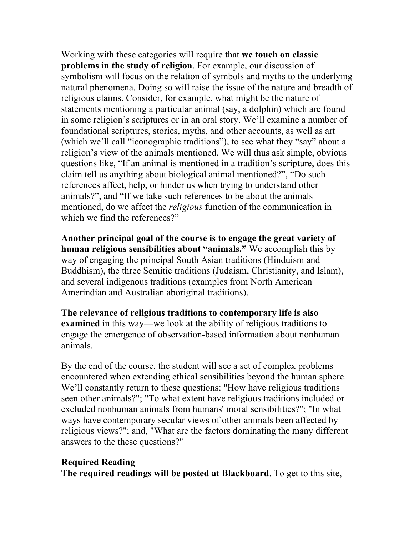Working with these categories will require that **we touch on classic problems in the study of religion**. For example, our discussion of symbolism will focus on the relation of symbols and myths to the underlying natural phenomena. Doing so will raise the issue of the nature and breadth of religious claims. Consider, for example, what might be the nature of statements mentioning a particular animal (say, a dolphin) which are found in some religion's scriptures or in an oral story. We'll examine a number of foundational scriptures, stories, myths, and other accounts, as well as art (which we'll call "iconographic traditions"), to see what they "say" about a religion's view of the animals mentioned. We will thus ask simple, obvious questions like, "If an animal is mentioned in a tradition's scripture, does this claim tell us anything about biological animal mentioned?", "Do such references affect, help, or hinder us when trying to understand other animals?", and "If we take such references to be about the animals mentioned, do we affect the *religious* function of the communication in which we find the references?"

**Another principal goal of the course is to engage the great variety of human religious sensibilities about "animals."** We accomplish this by way of engaging the principal South Asian traditions (Hinduism and Buddhism), the three Semitic traditions (Judaism, Christianity, and Islam), and several indigenous traditions (examples from North American Amerindian and Australian aboriginal traditions).

**The relevance of religious traditions to contemporary life is also examined** in this way—we look at the ability of religious traditions to engage the emergence of observation-based information about nonhuman animals.

By the end of the course, the student will see a set of complex problems encountered when extending ethical sensibilities beyond the human sphere. We'll constantly return to these questions: "How have religious traditions seen other animals?"; "To what extent have religious traditions included or excluded nonhuman animals from humans' moral sensibilities?"; "In what ways have contemporary secular views of other animals been affected by religious views?"; and, "What are the factors dominating the many different answers to the these questions?"

# **Required Reading**

**The required readings will be posted at Blackboard**. To get to this site,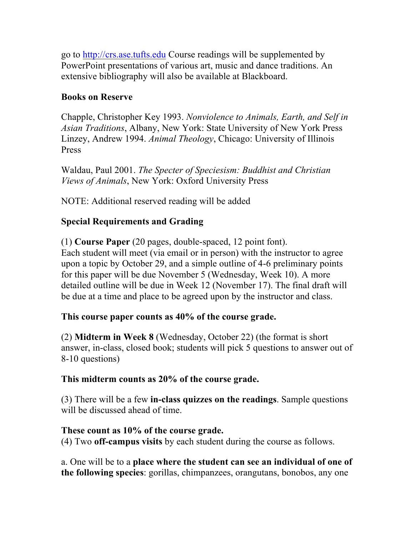go to http://crs.ase.tufts.edu Course readings will be supplemented by PowerPoint presentations of various art, music and dance traditions. An extensive bibliography will also be available at Blackboard.

## **Books on Reserve**

Chapple, Christopher Key 1993. *Nonviolence to Animals, Earth, and Self in Asian Traditions*, Albany, New York: State University of New York Press Linzey, Andrew 1994. *Animal Theology*, Chicago: University of Illinois Press

Waldau, Paul 2001. *The Specter of Speciesism: Buddhist and Christian Views of Animals*, New York: Oxford University Press

NOTE: Additional reserved reading will be added

# **Special Requirements and Grading**

(1) **Course Paper** (20 pages, double-spaced, 12 point font). Each student will meet (via email or in person) with the instructor to agree upon a topic by October 29, and a simple outline of 4-6 preliminary points for this paper will be due November 5 (Wednesday, Week 10). A more detailed outline will be due in Week 12 (November 17). The final draft will be due at a time and place to be agreed upon by the instructor and class.

### **This course paper counts as 40% of the course grade.**

(2) **Midterm in Week 8** (Wednesday, October 22) (the format is short answer, in-class, closed book; students will pick 5 questions to answer out of 8-10 questions)

### **This midterm counts as 20% of the course grade.**

(3) There will be a few **in-class quizzes on the readings**. Sample questions will be discussed ahead of time.

### **These count as 10% of the course grade.**

(4) Two **off-campus visits** by each student during the course as follows.

a. One will be to a **place where the student can see an individual of one of the following species**: gorillas, chimpanzees, orangutans, bonobos, any one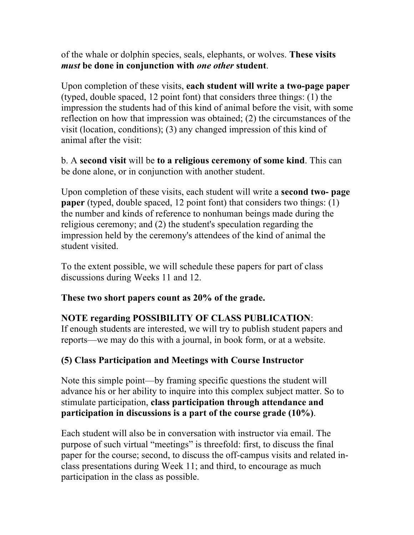of the whale or dolphin species, seals, elephants, or wolves. **These visits**  *must* **be done in conjunction with** *one other* **student**.

Upon completion of these visits, **each student will write a two-page paper**  (typed, double spaced, 12 point font) that considers three things: (1) the impression the students had of this kind of animal before the visit, with some reflection on how that impression was obtained; (2) the circumstances of the visit (location, conditions); (3) any changed impression of this kind of animal after the visit:

b. A **second visit** will be **to a religious ceremony of some kind**. This can be done alone, or in conjunction with another student.

Upon completion of these visits, each student will write a **second two- page paper** (typed, double spaced, 12 point font) that considers two things: (1) the number and kinds of reference to nonhuman beings made during the religious ceremony; and (2) the student's speculation regarding the impression held by the ceremony's attendees of the kind of animal the student visited.

To the extent possible, we will schedule these papers for part of class discussions during Weeks 11 and 12.

**These two short papers count as 20% of the grade.** 

# **NOTE regarding POSSIBILITY OF CLASS PUBLICATION**:

If enough students are interested, we will try to publish student papers and reports—we may do this with a journal, in book form, or at a website.

# **(5) Class Participation and Meetings with Course Instructor**

Note this simple point—by framing specific questions the student will advance his or her ability to inquire into this complex subject matter. So to stimulate participation, **class participation through attendance and participation in discussions is a part of the course grade (10%)**.

Each student will also be in conversation with instructor via email. The purpose of such virtual "meetings" is threefold: first, to discuss the final paper for the course; second, to discuss the off-campus visits and related inclass presentations during Week 11; and third, to encourage as much participation in the class as possible.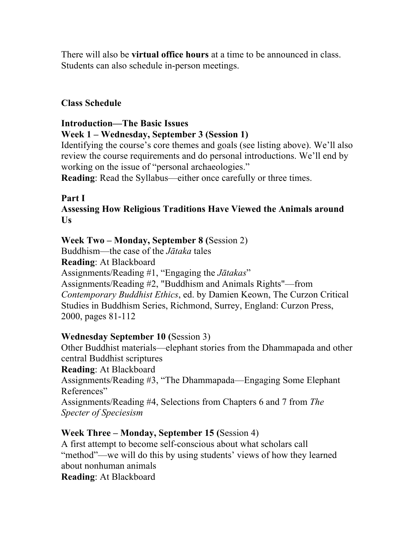There will also be **virtual office hours** at a time to be announced in class. Students can also schedule in-person meetings.

## **Class Schedule**

# **Introduction—The Basic Issues Week 1 – Wednesday, September 3 (Session 1)**

Identifying the course's core themes and goals (see listing above). We'll also review the course requirements and do personal introductions. We'll end by working on the issue of "personal archaeologies."

**Reading**: Read the Syllabus—either once carefully or three times.

# **Part I**

## **Assessing How Religious Traditions Have Viewed the Animals around Us**

# **Week Two – Monday, September 8 (**Session 2)

Buddhism—the case of the *Jātaka* tales **Reading**: At Blackboard Assignments/Reading #1, "Engaging the *Jātakas*" Assignments/Reading #2, "Buddhism and Animals Rights"—from *Contemporary Buddhist Ethics*, ed. by Damien Keown, The Curzon Critical Studies in Buddhism Series, Richmond, Surrey, England: Curzon Press, 2000, pages 81-112

### **Wednesday September 10 (**Session 3)

Other Buddhist materials—elephant stories from the Dhammapada and other central Buddhist scriptures **Reading**: At Blackboard Assignments/Reading #3, "The Dhammapada—Engaging Some Elephant References" Assignments/Reading #4, Selections from Chapters 6 and 7 from *The Specter of Speciesism* 

# **Week Three – Monday, September 15 (**Session 4)

A first attempt to become self-conscious about what scholars call "method"—we will do this by using students' views of how they learned about nonhuman animals **Reading**: At Blackboard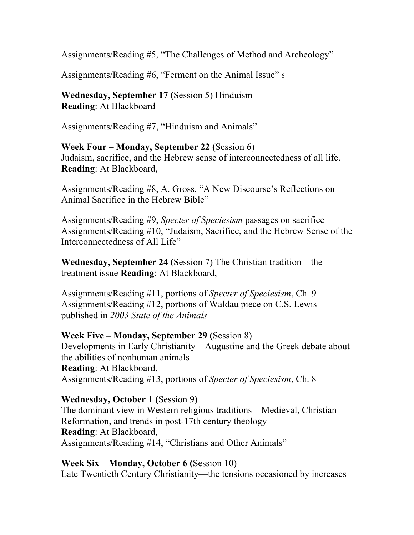Assignments/Reading #5, "The Challenges of Method and Archeology"

Assignments/Reading #6, "Ferment on the Animal Issue" 6

**Wednesday, September 17 (**Session 5) Hinduism **Reading**: At Blackboard

Assignments/Reading #7, "Hinduism and Animals"

**Week Four – Monday, September 22 (**Session 6) Judaism, sacrifice, and the Hebrew sense of interconnectedness of all life. **Reading**: At Blackboard,

Assignments/Reading #8, A. Gross, "A New Discourse's Reflections on Animal Sacrifice in the Hebrew Bible"

Assignments/Reading #9, *Specter of Speciesism* passages on sacrifice Assignments/Reading #10, "Judaism, Sacrifice, and the Hebrew Sense of the Interconnectedness of All Life"

**Wednesday, September 24 (**Session 7) The Christian tradition—the treatment issue **Reading**: At Blackboard,

Assignments/Reading #11, portions of *Specter of Speciesism*, Ch. 9 Assignments/Reading #12, portions of Waldau piece on C.S. Lewis published in *2003 State of the Animals* 

### **Week Five – Monday, September 29 (**Session 8)

Developments in Early Christianity—Augustine and the Greek debate about the abilities of nonhuman animals **Reading**: At Blackboard, Assignments/Reading #13, portions of *Specter of Speciesism*, Ch. 8

### **Wednesday, October 1 (**Session 9)

The dominant view in Western religious traditions—Medieval, Christian Reformation, and trends in post-17th century theology **Reading**: At Blackboard, Assignments/Reading #14, "Christians and Other Animals"

**Week Six – Monday, October 6 (**Session 10)

Late Twentieth Century Christianity—the tensions occasioned by increases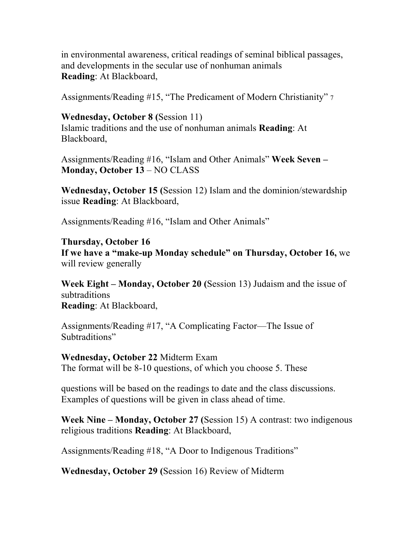in environmental awareness, critical readings of seminal biblical passages, and developments in the secular use of nonhuman animals **Reading**: At Blackboard,

Assignments/Reading #15, "The Predicament of Modern Christianity" 7

#### **Wednesday, October 8 (**Session 11)

Islamic traditions and the use of nonhuman animals **Reading**: At Blackboard,

Assignments/Reading #16, "Islam and Other Animals" **Week Seven – Monday, October 13** – NO CLASS

**Wednesday, October 15 (**Session 12) Islam and the dominion/stewardship issue **Reading**: At Blackboard,

Assignments/Reading #16, "Islam and Other Animals"

**Thursday, October 16 If we have a "make-up Monday schedule" on Thursday, October 16,** we will review generally

**Week Eight – Monday, October 20 (**Session 13) Judaism and the issue of subtraditions **Reading**: At Blackboard,

Assignments/Reading #17, "A Complicating Factor—The Issue of Subtraditions"

**Wednesday, October 22** Midterm Exam The format will be 8-10 questions, of which you choose 5. These

questions will be based on the readings to date and the class discussions. Examples of questions will be given in class ahead of time.

**Week Nine – Monday, October 27 (**Session 15) A contrast: two indigenous religious traditions **Reading**: At Blackboard,

Assignments/Reading #18, "A Door to Indigenous Traditions"

**Wednesday, October 29 (**Session 16) Review of Midterm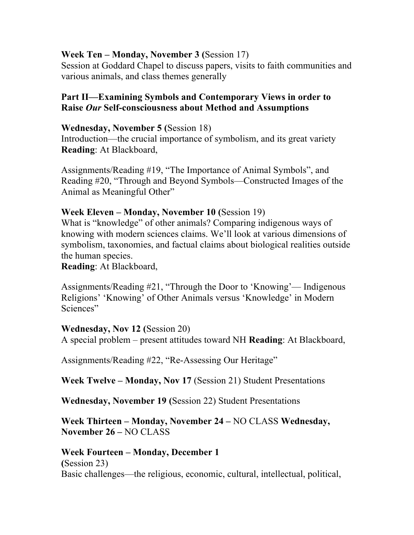### **Week Ten – Monday, November 3 (**Session 17)

Session at Goddard Chapel to discuss papers, visits to faith communities and various animals, and class themes generally

## **Part II—Examining Symbols and Contemporary Views in order to Raise** *Our* **Self-consciousness about Method and Assumptions**

#### **Wednesday, November 5 (**Session 18)

Introduction—the crucial importance of symbolism, and its great variety **Reading**: At Blackboard,

Assignments/Reading #19, "The Importance of Animal Symbols", and Reading #20, "Through and Beyond Symbols—Constructed Images of the Animal as Meaningful Other"

### **Week Eleven – Monday, November 10 (**Session 19)

What is "knowledge" of other animals? Comparing indigenous ways of knowing with modern sciences claims. We'll look at various dimensions of symbolism, taxonomies, and factual claims about biological realities outside the human species.

#### **Reading**: At Blackboard,

Assignments/Reading #21, "Through the Door to 'Knowing'— Indigenous Religions' 'Knowing' of Other Animals versus 'Knowledge' in Modern Sciences"

#### **Wednesday, Nov 12 (**Session 20)

A special problem – present attitudes toward NH **Reading**: At Blackboard,

Assignments/Reading #22, "Re-Assessing Our Heritage"

**Week Twelve – Monday, Nov 17** (Session 21) Student Presentations

**Wednesday, November 19 (**Session 22) Student Presentations

## **Week Thirteen – Monday, November 24 –** NO CLASS **Wednesday, November 26 –** NO CLASS

### **Week Fourteen – Monday, December 1**

**(**Session 23) Basic challenges—the religious, economic, cultural, intellectual, political,